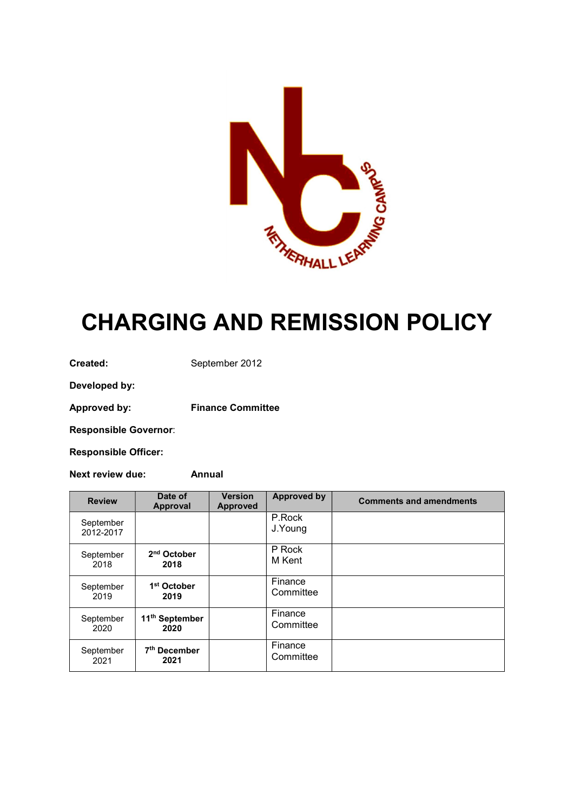

# CHARGING AND REMISSION POLICY

Created: September 2012

Developed by:

Approved by: Finance Committee

Responsible Governor:

Responsible Officer:

Next review due: Annual

| <b>Review</b>          | Date of<br>Approval                | <b>Version</b><br><b>Approved</b> | <b>Approved by</b>   | <b>Comments and amendments</b> |
|------------------------|------------------------------------|-----------------------------------|----------------------|--------------------------------|
| September<br>2012-2017 |                                    |                                   | P.Rock<br>J.Young    |                                |
| September<br>2018      | 2 <sup>nd</sup> October<br>2018    |                                   | P Rock<br>M Kent     |                                |
| September<br>2019      | 1 <sup>st</sup> October<br>2019    |                                   | Finance<br>Committee |                                |
| September<br>2020      | 11 <sup>th</sup> September<br>2020 |                                   | Finance<br>Committee |                                |
| September<br>2021      | 7 <sup>th</sup> December<br>2021   |                                   | Finance<br>Committee |                                |